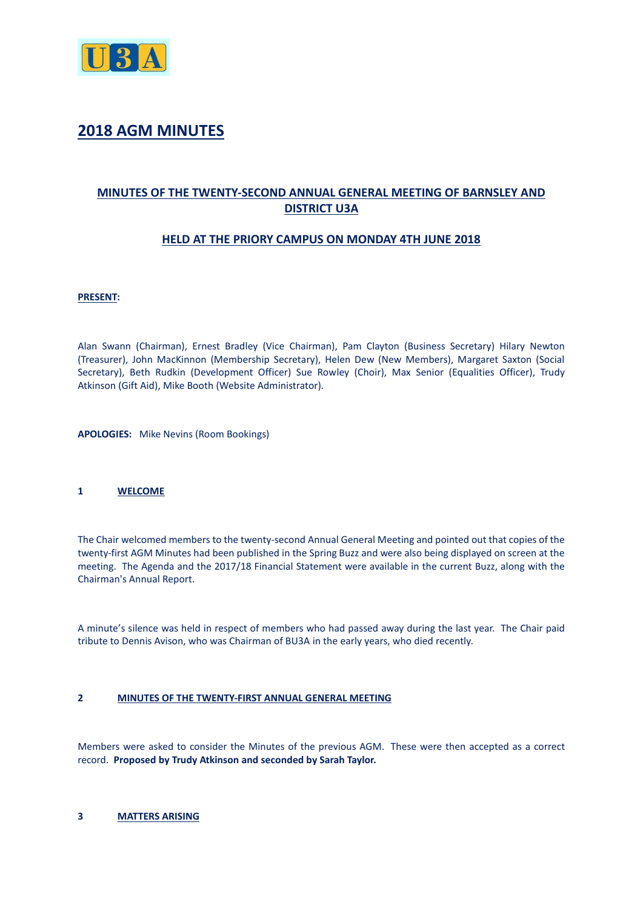

# **2018 AGM MINUTES**

## **MINUTES OF THE TWENTY-SECOND ANNUAL GENERAL MEETING OF BARNSLEY AND DISTRICT U3A**

## **HELD AT THE PRIORY CAMPUS ON MONDAY 4TH JUNE 2018**

#### **PRESENT:**

Alan Swann (Chairman), Ernest Bradley (Vice Chairman), Pam Clayton (Business Secretary) Hilary Newton (Treasurer), John MacKinnon (Membership Secretary), Helen Dew (New Members), Margaret Saxton (Social Secretary), Beth Rudkin (Development Officer) Sue Rowley (Choir), Max Senior (Equalities Officer), Trudy Atkinson (Gift Aid), Mike Booth (Website Administrator).

**APOLOGIES:** Mike Nevins (Room Bookings)

#### **1 WELCOME**

The Chair welcomed members to the twenty-second Annual General Meeting and pointed out that copies of the twenty-first AGM Minutes had been published in the Spring Buzz and were also being displayed on screen at the meeting. The Agenda and the 2017/18 Financial Statement were available in the current Buzz, along with the Chairman's Annual Report.

A minute's silence was held in respect of members who had passed away during the last year. The Chair paid tribute to Dennis Avison, who was Chairman of BU3A in the early years, who died recently.

#### **2 MINUTES OF THE TWENTY-FIRST ANNUAL GENERAL MEETING**

Members were asked to consider the Minutes of the previous AGM. These were then accepted as a correct record. **Proposed by Trudy Atkinson and seconded by Sarah Taylor.**

#### **3 MATTERS ARISING**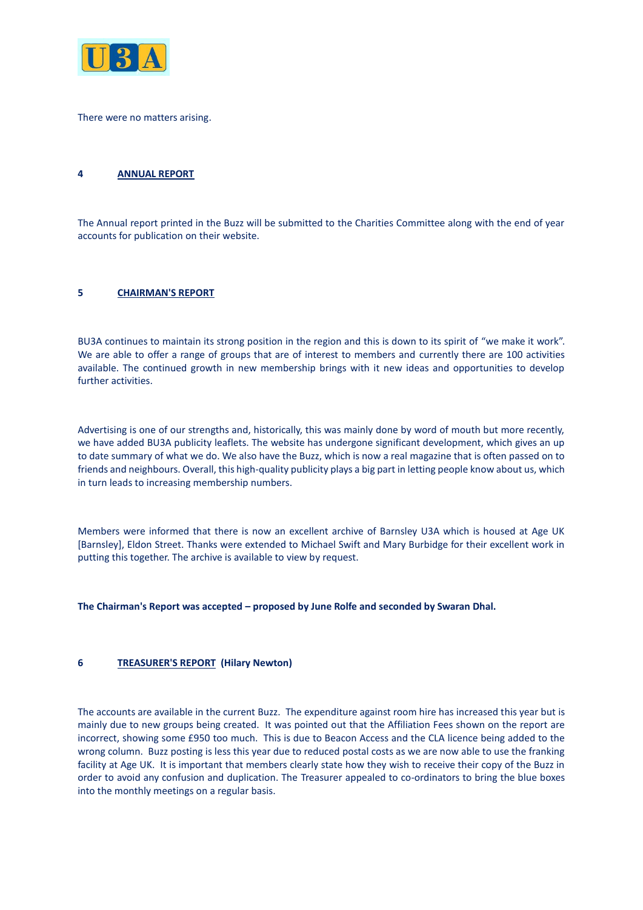

There were no matters arising.

## **4 ANNUAL REPORT**

The Annual report printed in the Buzz will be submitted to the Charities Committee along with the end of year accounts for publication on their website.

### **5 CHAIRMAN'S REPORT**

BU3A continues to maintain its strong position in the region and this is down to its spirit of "we make it work". We are able to offer a range of groups that are of interest to members and currently there are 100 activities available. The continued growth in new membership brings with it new ideas and opportunities to develop further activities.

Advertising is one of our strengths and, historically, this was mainly done by word of mouth but more recently, we have added BU3A publicity leaflets. The website has undergone significant development, which gives an up to date summary of what we do. We also have the Buzz, which is now a real magazine that is often passed on to friends and neighbours. Overall, this high-quality publicity plays a big part in letting people know about us, which in turn leads to increasing membership numbers.

Members were informed that there is now an excellent archive of Barnsley U3A which is housed at Age UK [Barnsley], Eldon Street. Thanks were extended to Michael Swift and Mary Burbidge for their excellent work in putting this together. The archive is available to view by request.

**The Chairman's Report was accepted – proposed by June Rolfe and seconded by Swaran Dhal.** 

#### **6 TREASURER'S REPORT (Hilary Newton)**

The accounts are available in the current Buzz. The expenditure against room hire has increased this year but is mainly due to new groups being created. It was pointed out that the Affiliation Fees shown on the report are incorrect, showing some £950 too much. This is due to Beacon Access and the CLA licence being added to the wrong column. Buzz posting is less this year due to reduced postal costs as we are now able to use the franking facility at Age UK. It is important that members clearly state how they wish to receive their copy of the Buzz in order to avoid any confusion and duplication. The Treasurer appealed to co-ordinators to bring the blue boxes into the monthly meetings on a regular basis.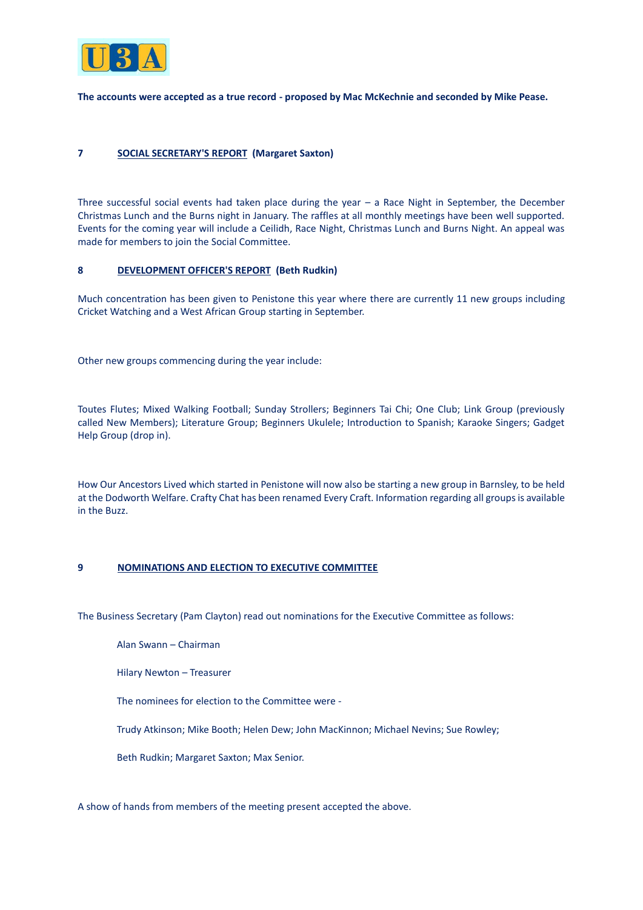

**The accounts were accepted as a true record - proposed by Mac McKechnie and seconded by Mike Pease.**

### **7 SOCIAL SECRETARY'S REPORT (Margaret Saxton)**

Three successful social events had taken place during the year – a Race Night in September, the December Christmas Lunch and the Burns night in January. The raffles at all monthly meetings have been well supported. Events for the coming year will include a Ceilidh, Race Night, Christmas Lunch and Burns Night. An appeal was made for members to join the Social Committee.

#### **8 DEVELOPMENT OFFICER'S REPORT (Beth Rudkin)**

Much concentration has been given to Penistone this year where there are currently 11 new groups including Cricket Watching and a West African Group starting in September.

Other new groups commencing during the year include:

Toutes Flutes; Mixed Walking Football; Sunday Strollers; Beginners Tai Chi; One Club; Link Group (previously called New Members); Literature Group; Beginners Ukulele; Introduction to Spanish; Karaoke Singers; Gadget Help Group (drop in).

How Our Ancestors Lived which started in Penistone will now also be starting a new group in Barnsley, to be held at the Dodworth Welfare. Crafty Chat has been renamed Every Craft. Information regarding all groups is available in the Buzz.

#### **9 NOMINATIONS AND ELECTION TO EXECUTIVE COMMITTEE**

The Business Secretary (Pam Clayton) read out nominations for the Executive Committee as follows:

Alan Swann – Chairman

Hilary Newton – Treasurer

The nominees for election to the Committee were -

Trudy Atkinson; Mike Booth; Helen Dew; John MacKinnon; Michael Nevins; Sue Rowley;

Beth Rudkin; Margaret Saxton; Max Senior.

A show of hands from members of the meeting present accepted the above.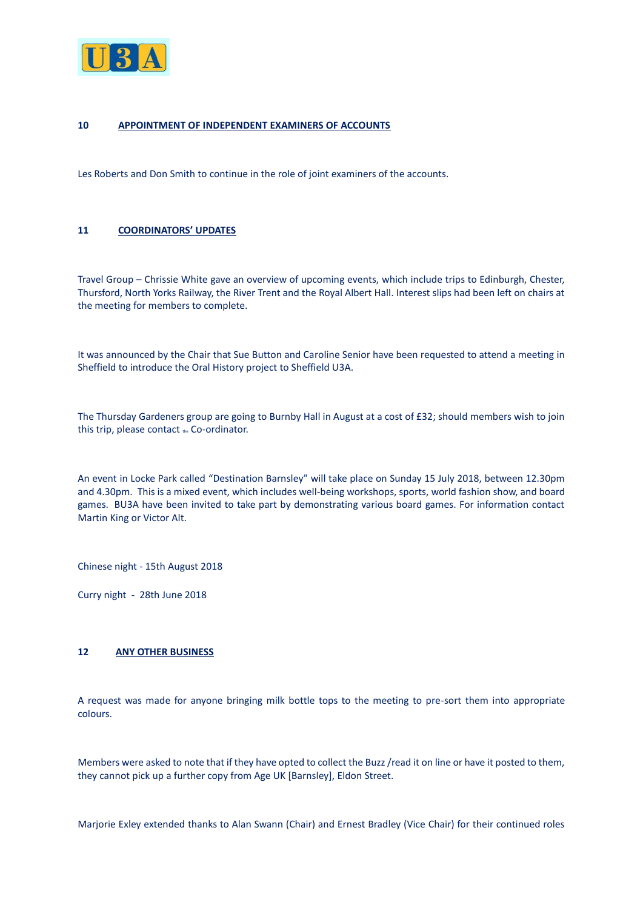

#### **10 APPOINTMENT OF INDEPENDENT EXAMINERS OF ACCOUNTS**

Les Roberts and Don Smith to continue in the role of joint examiners of the accounts.

## **11 COORDINATORS' UPDATES**

Travel Group – Chrissie White gave an overview of upcoming events, which include trips to Edinburgh, Chester, Thursford, North Yorks Railway, the River Trent and the Royal Albert Hall. Interest slips had been left on chairs at the meeting for members to complete.

It was announced by the Chair that Sue Button and Caroline Senior have been requested to attend a meeting in Sheffield to introduce the Oral History project to Sheffield U3A.

The Thursday Gardeners group are going to Burnby Hall in August at a cost of £32; should members wish to join this trip, please contact the Co-ordinator.

An event in Locke Park called "Destination Barnsley" will take place on Sunday 15 July 2018, between 12.30pm and 4.30pm. This is a mixed event, which includes well-being workshops, sports, world fashion show, and board games. BU3A have been invited to take part by demonstrating various board games. For information contact Martin King or Victor Alt.

Chinese night - 15th August 2018

Curry night - 28th June 2018

#### **12 ANY OTHER BUSINESS**

A request was made for anyone bringing milk bottle tops to the meeting to pre-sort them into appropriate colours.

Members were asked to note that if they have opted to collect the Buzz /read it on line or have it posted to them, they cannot pick up a further copy from Age UK [Barnsley], Eldon Street.

Marjorie Exley extended thanks to Alan Swann (Chair) and Ernest Bradley (Vice Chair) for their continued roles